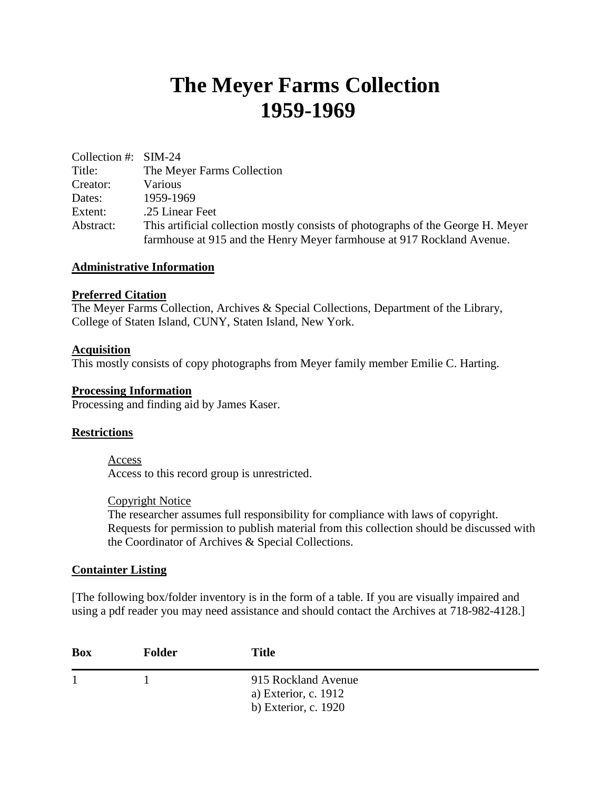# **The Meyer Farms Collection 1959-1969**

| Collection #: $SIM-24$ |                                                                                  |  |
|------------------------|----------------------------------------------------------------------------------|--|
| Title:                 | The Meyer Farms Collection                                                       |  |
| Creator:               | Various                                                                          |  |
| Dates:                 | 1959-1969                                                                        |  |
| Extent:                | .25 Linear Feet                                                                  |  |
| Abstract:              | This artificial collection mostly consists of photographs of the George H. Meyer |  |
|                        | farmhouse at 915 and the Henry Meyer farmhouse at 917 Rockland Avenue.           |  |

#### **Administrative Information**

### **Preferred Citation**

The Meyer Farms Collection, Archives & Special Collections, Department of the Library, College of Staten Island, CUNY, Staten Island, New York.

#### **Acquisition**

This mostly consists of copy photographs from Meyer family member Emilie C. Harting.

#### **Processing Information**

Processing and finding aid by James Kaser.

#### **Restrictions**

## Access

Access to this record group is unrestricted.

#### Copyright Notice

The researcher assumes full responsibility for compliance with laws of copyright. Requests for permission to publish material from this collection should be discussed with the Coordinator of Archives & Special Collections.

#### **Containter Listing**

[The following box/folder inventory is in the form of a table. If you are visually impaired and using a pdf reader you may need assistance and should contact the Archives at 718-982-4128.]

| <b>Box</b> | <b>Folder</b> | <b>Title</b>                                                        |  |
|------------|---------------|---------------------------------------------------------------------|--|
|            |               | 915 Rockland Avenue<br>a) Exterior, c. 1912<br>b) Exterior, c. 1920 |  |